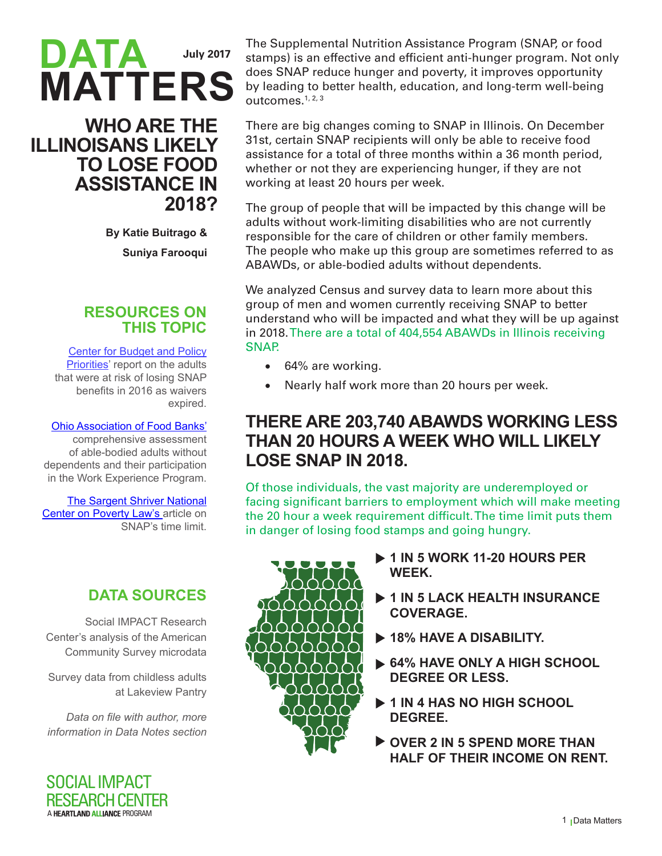# **DATA MATTERS July 2017**

### **WHO ARE THE ILLINOISANS LIKELY TO LOSE FOOD ASSISTANCE IN 2018?**

**By Katie Buitrago & Suniya Farooqui**

#### **RESOURCES ON THIS TOPIC**

[Center for Budget and Policy](http://www.cbpp.org/research/food-assistance/more-than-500000-adults-will-lose-snap-benefits-in-2016-as-waivers-expire) [Priorities](http://www.cbpp.org/research/food-assistance/more-than-500000-adults-will-lose-snap-benefits-in-2016-as-waivers-expire)' report on the adults that were at risk of losing SNAP benefits in 2016 as waivers expired.

### [Ohio Association of Food Banks'](http://ohiofoodbanks.org/wep/WEP-2013-2015-report.pdf)

comprehensive assessment of able-bodied adults without dependents and their participation in the Work Experience Program.

#### [The Sargent Shriver National](http://povertylaw.org/clearinghouse/article/timelimit)

[Center on Poverty Law's](http://povertylaw.org/clearinghouse/article/timelimit) article on SNAP's time limit.

## **DATA SOURCES**

Social IMPACT Research Center's analysis of the American Community Survey microdata

Survey data from childless adults at Lakeview Pantry

*Data on file with author, more information in Data Notes section*



The Supplemental Nutrition Assistance Program (SNAP, or food stamps) is an effective and efficient anti-hunger program. Not only does SNAP reduce hunger and poverty, it improves opportunity by leading to better health, education, and long-term well-being outcomes.1, 2, 3

There are big changes coming to SNAP in Illinois. On December 31st, certain SNAP recipients will only be able to receive food assistance for a total of three months within a 36 month period, whether or not they are experiencing hunger, if they are not working at least 20 hours per week.

The group of people that will be impacted by this change will be adults without work-limiting disabilities who are not currently responsible for the care of children or other family members. The people who make up this group are sometimes referred to as ABAWDs, or able-bodied adults without dependents.

We analyzed Census and survey data to learn more about this group of men and women currently receiving SNAP to better understand who will be impacted and what they will be up against in 2018. There are a total of 404,554 ABAWDs in Illinois receiving SNAP.

- 64% are working.
- Nearly half work more than 20 hours per week.

### **THERE ARE 203,740 ABAWDS WORKING LESS THAN 20 HOURS A WEEK WHO WILL LIKELY LOSE SNAP IN 2018.**

Of those individuals, the vast majority are underemployed or facing significant barriers to employment which will make meeting the 20 hour a week requirement difficult. The time limit puts them in danger of losing food stamps and going hungry.



- ▶ 1 IN 5 WORK 11-20 HOURS PER **WEEK.**
- **404,554 COVERAGE. 1 IN 5 LACK HEALTH INSURANCE**
- ▶ 18% HAVE A DISABILITY.
	- **receive 64% HAVE ONLY A HIGH SCHOOL DEGREE OR LESS.**
- **1 IN 4 HAS NO HIGH SCHOOL DEGREE.**
- **OVER 2 IN 5 SPEND MORE THAN HALF OF THEIR INCOME ON RENT.**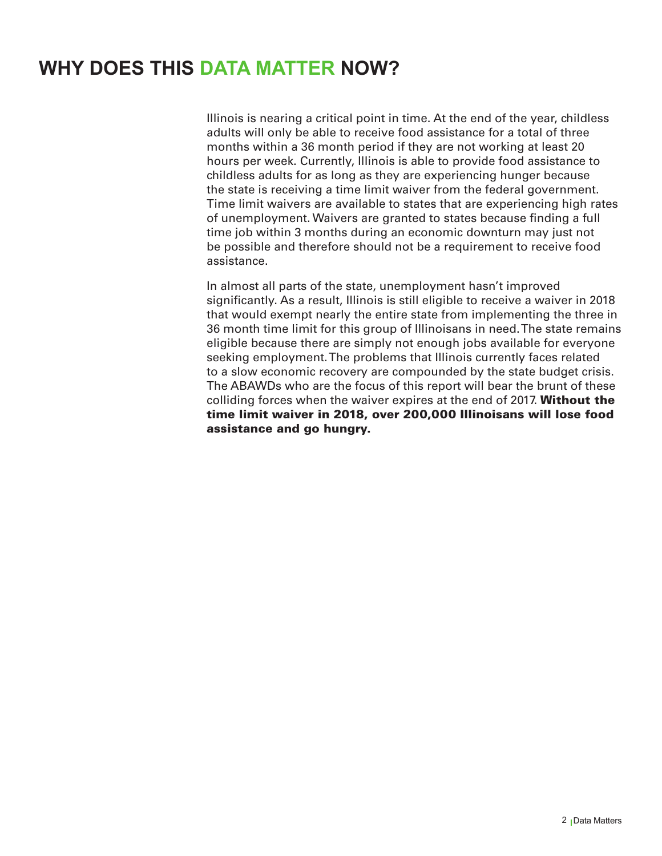## **WHY DOES THIS DATA MATTER NOW?**

Illinois is nearing a critical point in time. At the end of the year, childless adults will only be able to receive food assistance for a total of three months within a 36 month period if they are not working at least 20 hours per week. Currently, Illinois is able to provide food assistance to childless adults for as long as they are experiencing hunger because the state is receiving a time limit waiver from the federal government. Time limit waivers are available to states that are experiencing high rates of unemployment. Waivers are granted to states because finding a full time job within 3 months during an economic downturn may just not be possible and therefore should not be a requirement to receive food assistance.

In almost all parts of the state, unemployment hasn't improved significantly. As a result, Illinois is still eligible to receive a waiver in 2018 that would exempt nearly the entire state from implementing the three in 36 month time limit for this group of Illinoisans in need. The state remains eligible because there are simply not enough jobs available for everyone seeking employment. The problems that Illinois currently faces related to a slow economic recovery are compounded by the state budget crisis. The ABAWDs who are the focus of this report will bear the brunt of these colliding forces when the waiver expires at the end of 2017. Without the time limit waiver in 2018, over 200,000 Illinoisans will lose food assistance and go hungry.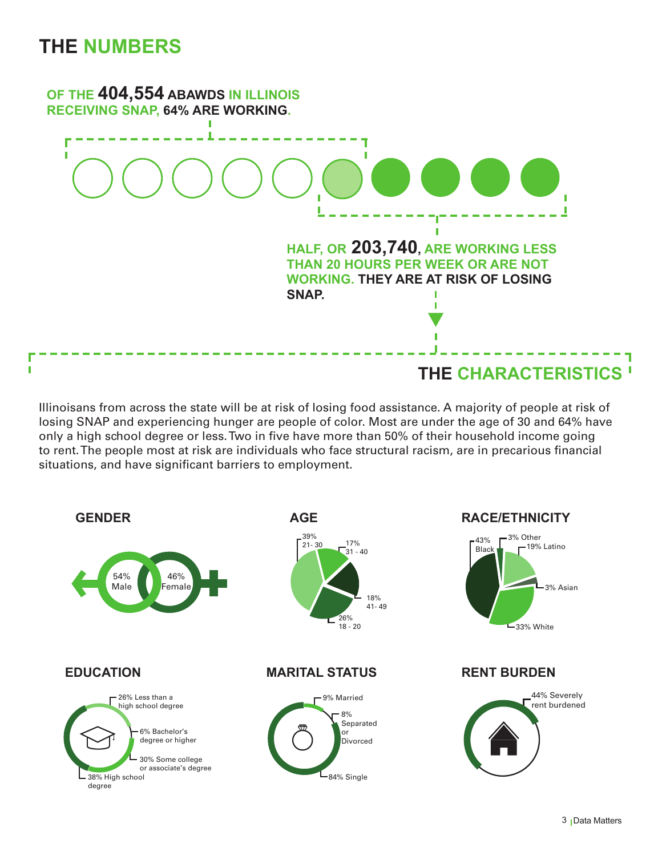## **THE NUMBERS**



Illinoisans from across the state will be at risk of losing food assistance. A majority of people at risk of losing SNAP and experiencing hunger are people of color. Most are under the age of 30 and 64% have only a high school degree or less. Two in five have more than 50% of their household income going to rent. The people most at risk are individuals who face structural racism, are in precarious financial situations, and have significant barriers to employment.

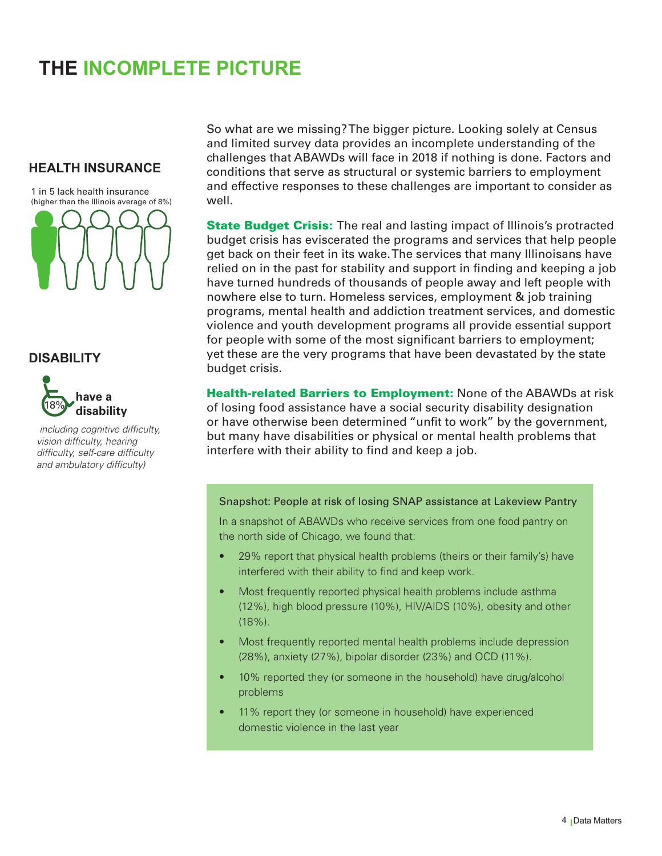# **THE INCOMPLETE PICTURE**

#### **HEALTH INSURANCE**

1 in 5 lack health insurance (higher than the Illinois average of 8%)



#### **DISABILITY**



*including cognitive difficulty, vision difficulty, hearing difficulty, self-care difficulty and ambulatory difficulty)*

So what are we missing? The bigger picture. Looking solely at Census and limited survey data provides an incomplete understanding of the challenges that ABAWDs will face in 2018 if nothing is done. Factors and conditions that serve as structural or systemic barriers to employment and effective responses to these challenges are important to consider as well.

**State Budget Crisis:** The real and lasting impact of Illinois's protracted budget crisis has eviscerated the programs and services that help people get back on their feet in its wake. The services that many Illinoisans have relied on in the past for stability and support in finding and keeping a job have turned hundreds of thousands of people away and left people with nowhere else to turn. Homeless services, employment & job training programs, mental health and addiction treatment services, and domestic violence and youth development programs all provide essential support for people with some of the most significant barriers to employment; yet these are the very programs that have been devastated by the state budget crisis.

**Health-related Barriers to Employment: None of the ABAWDs at risk** of losing food assistance have a social security disability designation or have otherwise been determined "unfit to work" by the government, but many have disabilities or physical or mental health problems that interfere with their ability to find and keep a job.

#### Snapshot: People at risk of losing SNAP assistance at Lakeview Pantry

In a snapshot of ABAWDs who receive services from one food pantry on the north side of Chicago, we found that:

- 29% report that physical health problems (theirs or their family's) have interfered with their ability to find and keep work.
- Most frequently reported physical health problems include asthma (12%), high blood pressure (10%), HIV/AIDS (10%), obesity and other (18%).
- Most frequently reported mental health problems include depression (28%), anxiety (27%), bipolar disorder (23%) and OCD (11%).
- 10% reported they (or someone in the household) have drug/alcohol problems
- 11% report they (or someone in household) have experienced domestic violence in the last year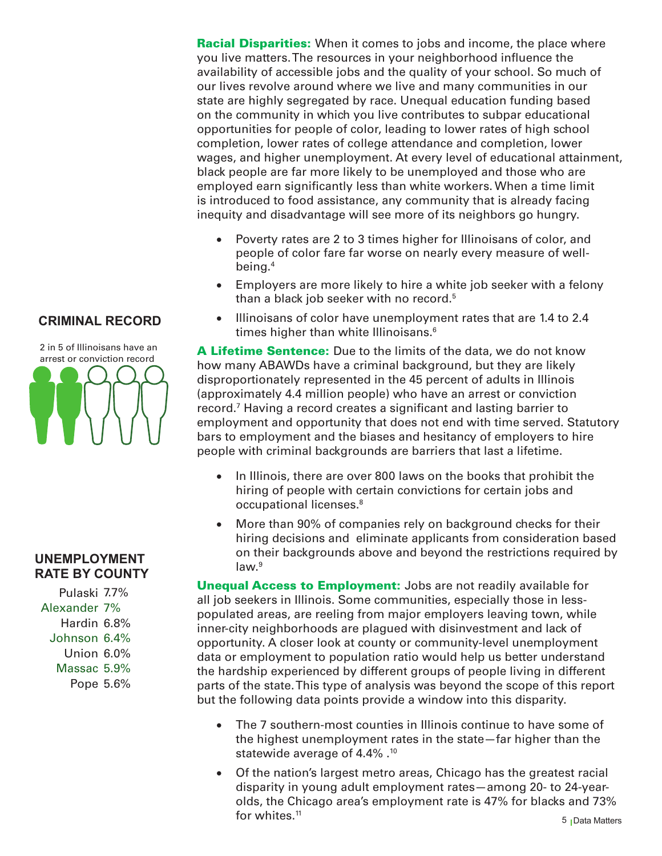**Racial Disparities:** When it comes to jobs and income, the place where you live matters. The resources in your neighborhood influence the availability of accessible jobs and the quality of your school. So much of our lives revolve around where we live and many communities in our state are highly segregated by race. Unequal education funding based on the community in which you live contributes to subpar educational opportunities for people of color, leading to lower rates of high school completion, lower rates of college attendance and completion, lower wages, and higher unemployment. At every level of educational attainment, black people are far more likely to be unemployed and those who are employed earn significantly less than white workers. When a time limit is introduced to food assistance, any community that is already facing inequity and disadvantage will see more of its neighbors go hungry.

- Poverty rates are 2 to 3 times higher for Illinoisans of color, and people of color fare far worse on nearly every measure of wellbeing.4
- Employers are more likely to hire a white job seeker with a felony than a black job seeker with no record.<sup>5</sup>
- Illinoisans of color have unemployment rates that are 1.4 to 2.4 times higher than white Illinoisans.<sup>6</sup>

A Lifetime Sentence: Due to the limits of the data, we do not know how many ABAWDs have a criminal background, but they are likely disproportionately represented in the 45 percent of adults in Illinois (approximately 4.4 million people) who have an arrest or conviction record.7 Having a record creates a significant and lasting barrier to employment and opportunity that does not end with time served. Statutory bars to employment and the biases and hesitancy of employers to hire people with criminal backgrounds are barriers that last a lifetime.

- In Illinois, there are over 800 laws on the books that prohibit the hiring of people with certain convictions for certain jobs and occupational licenses.8
- More than 90% of companies rely on background checks for their hiring decisions and eliminate applicants from consideration based on their backgrounds above and beyond the restrictions required by law.<sup>9</sup>

**Unequal Access to Employment:** Jobs are not readily available for all job seekers in Illinois. Some communities, especially those in lesspopulated areas, are reeling from major employers leaving town, while inner-city neighborhoods are plagued with disinvestment and lack of opportunity. A closer look at county or community-level unemployment data or employment to population ratio would help us better understand the hardship experienced by different groups of people living in different parts of the state. This type of analysis was beyond the scope of this report but the following data points provide a window into this disparity.

- The 7 southern-most counties in Illinois continue to have some of the highest unemployment rates in the state—far higher than the statewide average of 4.4% .<sup>10</sup>
- Of the nation's largest metro areas, Chicago has the greatest racial disparity in young adult employment rates—among 20- to 24-yearolds, the Chicago area's employment rate is 47% for blacks and 73% for whites.<sup>11</sup>

#### **CRIMINAL RECORD**



#### **UNEMPLOYMENT RATE BY COUNTY**

Pulaski 7.7% Alexander 7% Hardin 6.8% Johnson 6.4% Union 6.0% Massac 5.9% Pope 5.6%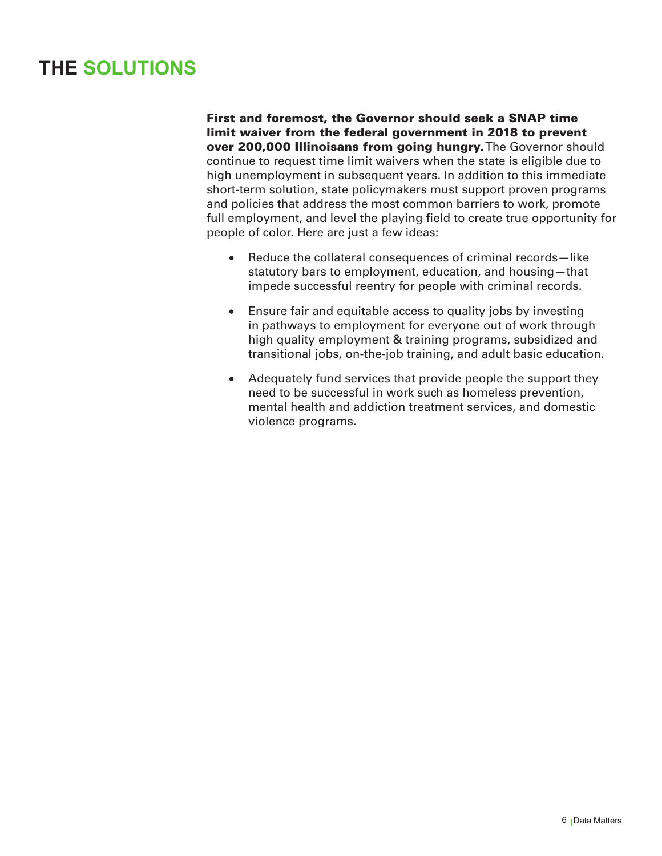# **THE SOLUTIONS**

First and foremost, the Governor should seek a SNAP time limit waiver from the federal government in 2018 to prevent over 200,000 Illinoisans from going hungry. The Governor should continue to request time limit waivers when the state is eligible due to high unemployment in subsequent years. In addition to this immediate short-term solution, state policymakers must support proven programs and policies that address the most common barriers to work, promote full employment, and level the playing field to create true opportunity for people of color. Here are just a few ideas:

- Reduce the collateral consequences of criminal records-like statutory bars to employment, education, and housing—that impede successful reentry for people with criminal records.
- Ensure fair and equitable access to quality jobs by investing in pathways to employment for everyone out of work through high quality employment & training programs, subsidized and transitional jobs, on-the-job training, and adult basic education.
- Adequately fund services that provide people the support they need to be successful in work such as homeless prevention, mental health and addiction treatment services, and domestic violence programs.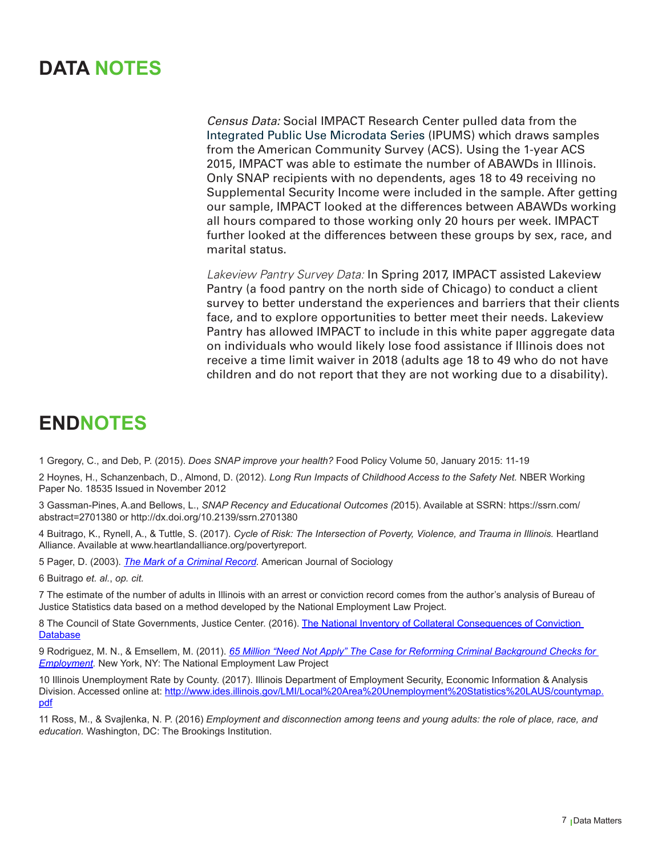# **DATA NOTES**

*Census Data:* Social IMPACT Research Center pulled data from the Integrated Public Use Microdata Series (IPUMS) which draws samples from the American Community Survey (ACS). Using the 1-year ACS 2015, IMPACT was able to estimate the number of ABAWDs in Illinois. Only SNAP recipients with no dependents, ages 18 to 49 receiving no Supplemental Security Income were included in the sample. After getting our sample, IMPACT looked at the differences between ABAWDs working all hours compared to those working only 20 hours per week. IMPACT further looked at the differences between these groups by sex, race, and marital status.

*Lakeview Pantry Survey Data:* In Spring 2017, IMPACT assisted Lakeview Pantry (a food pantry on the north side of Chicago) to conduct a client survey to better understand the experiences and barriers that their clients face, and to explore opportunities to better meet their needs. Lakeview Pantry has allowed IMPACT to include in this white paper aggregate data on individuals who would likely lose food assistance if Illinois does not receive a time limit waiver in 2018 (adults age 18 to 49 who do not have children and do not report that they are not working due to a disability).

# **ENDNOTES**

1 Gregory, C., and Deb, P. (2015). *Does SNAP improve your health?* Food Policy Volume 50, January 2015: 11-19

2 Hoynes, H., Schanzenbach, D., Almond, D. (2012). *Long Run Impacts of Childhood Access to the Safety Net.* NBER Working Paper No. 18535 Issued in November 2012

3 Gassman-Pines, A.and Bellows, L., *SNAP Recency and Educational Outcomes (*2015). Available at SSRN: https://ssrn.com/ abstract=2701380 or http://dx.doi.org/10.2139/ssrn.2701380

4 Buitrago, K., Rynell, A., & Tuttle, S. (2017). *Cycle of Risk: The Intersection of Poverty, Violence, and Trauma in Illinois.* Heartland Alliance. Available at www.heartlandalliance.org/povertyreport.

5 Pager, D. (2003). *[The Mark of a Criminal Record](http://web.stanford.edu/group/scspi/_media/pdf/Reference%20Media/Pager_2003_Crime%20and%20the%20Legal%20System.pdf).* American Journal of Sociology

6 Buitrago *et. al.*, *op. cit.*

7 The estimate of the number of adults in Illinois with an arrest or conviction record comes from the author's analysis of Bureau of Justice Statistics data based on a method developed by the National Employment Law Project.

8 The Council of State Governments, Justice Center. (2016). [The National Inventory of Collateral Consequences of Conviction](https://niccc.csgjusticecenter.org/)  **[Database](https://niccc.csgjusticecenter.org/)** 

9 Rodriguez, M. N., & Emsellem, M. (2011). *[65 Million "Need Not Apply" The Case for Reforming Criminal Background Checks for](http://www.nelp.org/content/uploads/2015/03/65_Million_Need_Not_Apply.pdf)  [Employment](http://www.nelp.org/content/uploads/2015/03/65_Million_Need_Not_Apply.pdf).* New York, NY: The National Employment Law Project

10 Illinois Unemployment Rate by County. (2017). Illinois Department of Employment Security, Economic Information & Analysis Division. Accessed online at: [http://www.ides.illinois.gov/LMI/Local%20Area%20Unemployment%20Statistics%20LAUS/countymap.](http://www.ides.illinois.gov/LMI/Local%20Area%20Unemployment%20Statistics%20LAUS/countymap.pdf) [pdf](http://www.ides.illinois.gov/LMI/Local%20Area%20Unemployment%20Statistics%20LAUS/countymap.pdf)

11 Ross, M., & Svajlenka, N. P. (2016) *Employment and disconnection among teens and young adults: the role of place, race, and education.* Washington, DC: The Brookings Institution.